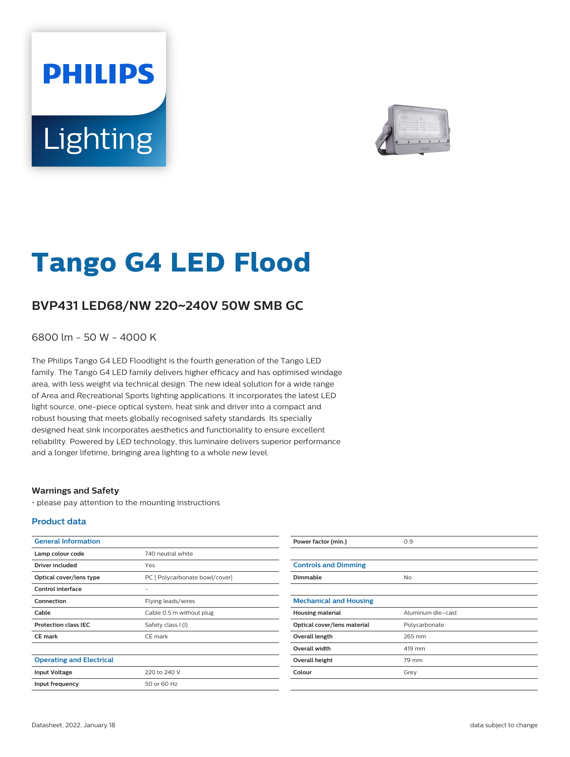# **PHILIPS** Lighting



# **Tango G4 LED Flood**

## **BVP431 LED68/NW 220**~**240V 50W SMB GC**

6800 lm - 50 W - 4000 K

The Philips Tango G4 LED Floodlight is the fourth generation of the Tango LED family. The Tango G4 LED family delivers higher efficacy and has optimised windage area, with less weight via technical design. The new ideal solution for a wide range of Area and Recreational Sports lighting applications. It incorporates the latest LED light source, one-piece optical system, heat sink and driver into a compact and robust housing that meets globally recognised safety standards. Its specially designed heat sink incorporates aesthetics and functionality to ensure excellent reliability. Powered by LED technology, this luminaire delivers superior performance and a longer lifetime, bringing area lighting to a whole new level.

#### **Warnings and Safety**

• please pay attention to the mounting instructions

#### **Product data**

| <b>General Information</b>      |                                | Power factor (min.)           | 0.9               |
|---------------------------------|--------------------------------|-------------------------------|-------------------|
| Lamp colour code                | 740 neutral white              |                               |                   |
| <b>Driver included</b>          | Yes                            | <b>Controls and Dimming</b>   |                   |
| Optical cover/lens type         | PC [ Polycarbonate bowl/cover] | Dimmable                      | <b>No</b>         |
| <b>Control interface</b>        | $\overline{\phantom{a}}$       |                               |                   |
| Connection                      | Flying leads/wires             | <b>Mechanical and Housing</b> |                   |
| Cable                           | Cable 0.5 m without plug       | <b>Housing material</b>       | Aluminum die-cast |
| <b>Protection class IEC</b>     | Safety class I (I)             | Optical cover/lens material   | Polycarbonate     |
| <b>CE mark</b>                  | CE mark                        | Overall length                | 265 mm            |
|                                 |                                | Overall width                 | 419 mm            |
| <b>Operating and Electrical</b> |                                | Overall height                | 79 mm             |
| <b>Input Voltage</b>            | 220 to 240 V                   | Colour                        | Grey              |
| Input frequency                 | 50 or 60 Hz                    |                               |                   |
|                                 |                                |                               |                   |